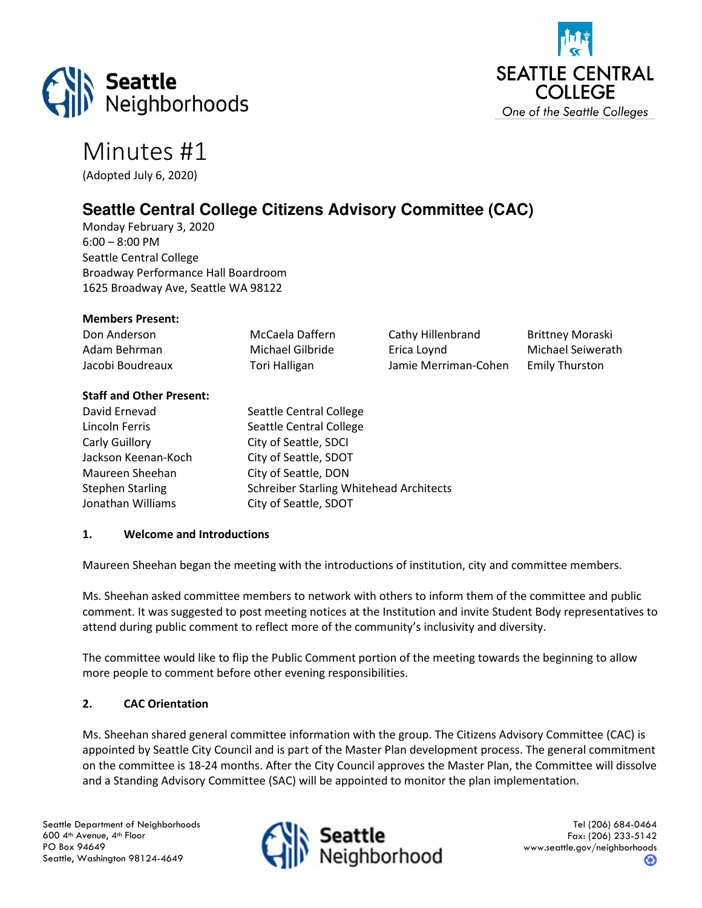



# Minutes #1

(Adopted July 6, 2020)

# **Seattle Central College Citizens Advisory Committee (CAC)**

Monday February 3, 2020 6:00 – 8:00 PM Seattle Central College Broadway Performance Hall Boardroom 1625 Broadway Ave, Seattle WA 98122

## Members Present:

| Don Anderson     | McCaela Daffern  |
|------------------|------------------|
| Adam Behrman     | Michael Gilbride |
| Jacobi Boudreaux | Tori Halligan    |

Cathy Hillenbrand Brittney Moraski Erica Loynd Michael Seiwerath Jamie Merriman-Cohen Emily Thurston

#### Staff and Other Present:

| David Ernevad       | Seattle Central College                        |
|---------------------|------------------------------------------------|
| Lincoln Ferris      | Seattle Central College                        |
| Carly Guillory      | City of Seattle, SDCI                          |
| Jackson Keenan-Koch | City of Seattle, SDOT                          |
| Maureen Sheehan     | City of Seattle, DON                           |
| Stephen Starling    | <b>Schreiber Starling Whitehead Architects</b> |
| Jonathan Williams   | City of Seattle, SDOT                          |

#### 1. Welcome and Introductions

Maureen Sheehan began the meeting with the introductions of institution, city and committee members.

Ms. Sheehan asked committee members to network with others to inform them of the committee and public comment. It was suggested to post meeting notices at the Institution and invite Student Body representatives to attend during public comment to reflect more of the community's inclusivity and diversity.

The committee would like to flip the Public Comment portion of the meeting towards the beginning to allow more people to comment before other evening responsibilities.

## 2. CAC Orientation

Ms. Sheehan shared general committee information with the group. The Citizens Advisory Committee (CAC) is appointed by Seattle City Council and is part of the Master Plan development process. The general commitment on the committee is 18-24 months. After the City Council approves the Master Plan, the Committee will dissolve and a Standing Advisory Committee (SAC) will be appointed to monitor the plan implementation.

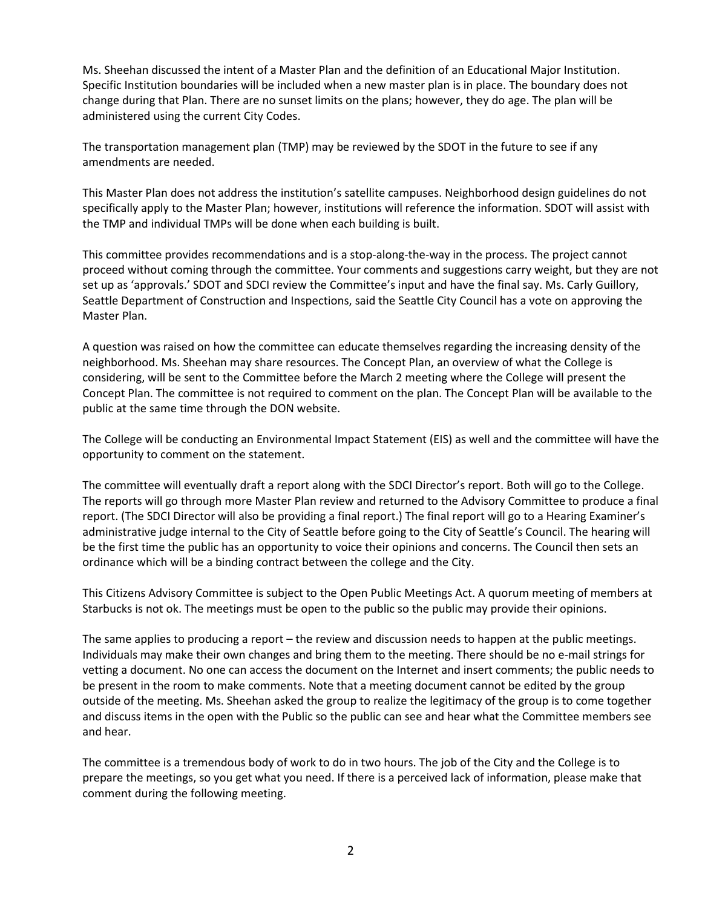Ms. Sheehan discussed the intent of a Master Plan and the definition of an Educational Major Institution. Specific Institution boundaries will be included when a new master plan is in place. The boundary does not change during that Plan. There are no sunset limits on the plans; however, they do age. The plan will be administered using the current City Codes.

The transportation management plan (TMP) may be reviewed by the SDOT in the future to see if any amendments are needed.

This Master Plan does not address the institution's satellite campuses. Neighborhood design guidelines do not specifically apply to the Master Plan; however, institutions will reference the information. SDOT will assist with the TMP and individual TMPs will be done when each building is built.

This committee provides recommendations and is a stop-along-the-way in the process. The project cannot proceed without coming through the committee. Your comments and suggestions carry weight, but they are not set up as 'approvals.' SDOT and SDCI review the Committee's input and have the final say. Ms. Carly Guillory, Seattle Department of Construction and Inspections, said the Seattle City Council has a vote on approving the Master Plan.

A question was raised on how the committee can educate themselves regarding the increasing density of the neighborhood. Ms. Sheehan may share resources. The Concept Plan, an overview of what the College is considering, will be sent to the Committee before the March 2 meeting where the College will present the Concept Plan. The committee is not required to comment on the plan. The Concept Plan will be available to the public at the same time through the DON website.

The College will be conducting an Environmental Impact Statement (EIS) as well and the committee will have the opportunity to comment on the statement.

The committee will eventually draft a report along with the SDCI Director's report. Both will go to the College. The reports will go through more Master Plan review and returned to the Advisory Committee to produce a final report. (The SDCI Director will also be providing a final report.) The final report will go to a Hearing Examiner's administrative judge internal to the City of Seattle before going to the City of Seattle's Council. The hearing will be the first time the public has an opportunity to voice their opinions and concerns. The Council then sets an ordinance which will be a binding contract between the college and the City.

This Citizens Advisory Committee is subject to the Open Public Meetings Act. A quorum meeting of members at Starbucks is not ok. The meetings must be open to the public so the public may provide their opinions.

The same applies to producing a report – the review and discussion needs to happen at the public meetings. Individuals may make their own changes and bring them to the meeting. There should be no e-mail strings for vetting a document. No one can access the document on the Internet and insert comments; the public needs to be present in the room to make comments. Note that a meeting document cannot be edited by the group outside of the meeting. Ms. Sheehan asked the group to realize the legitimacy of the group is to come together and discuss items in the open with the Public so the public can see and hear what the Committee members see and hear.

The committee is a tremendous body of work to do in two hours. The job of the City and the College is to prepare the meetings, so you get what you need. If there is a perceived lack of information, please make that comment during the following meeting.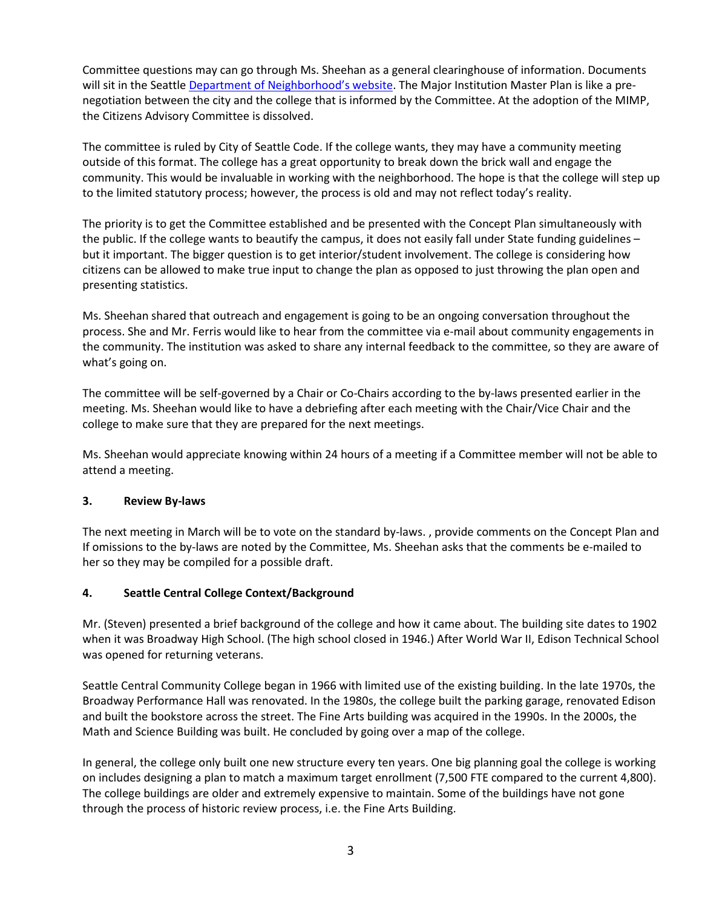Committee questions may can go through Ms. Sheehan as a general clearinghouse of information. Documents will sit in the Seattle Department of Neighborhood's website. The Major Institution Master Plan is like a prenegotiation between the city and the college that is informed by the Committee. At the adoption of the MIMP, the Citizens Advisory Committee is dissolved.

The committee is ruled by City of Seattle Code. If the college wants, they may have a community meeting outside of this format. The college has a great opportunity to break down the brick wall and engage the community. This would be invaluable in working with the neighborhood. The hope is that the college will step up to the limited statutory process; however, the process is old and may not reflect today's reality.

The priority is to get the Committee established and be presented with the Concept Plan simultaneously with the public. If the college wants to beautify the campus, it does not easily fall under State funding guidelines – but it important. The bigger question is to get interior/student involvement. The college is considering how citizens can be allowed to make true input to change the plan as opposed to just throwing the plan open and presenting statistics.

Ms. Sheehan shared that outreach and engagement is going to be an ongoing conversation throughout the process. She and Mr. Ferris would like to hear from the committee via e-mail about community engagements in the community. The institution was asked to share any internal feedback to the committee, so they are aware of what's going on.

The committee will be self-governed by a Chair or Co-Chairs according to the by-laws presented earlier in the meeting. Ms. Sheehan would like to have a debriefing after each meeting with the Chair/Vice Chair and the college to make sure that they are prepared for the next meetings.

Ms. Sheehan would appreciate knowing within 24 hours of a meeting if a Committee member will not be able to attend a meeting.

## 3. Review By-laws

The next meeting in March will be to vote on the standard by-laws. , provide comments on the Concept Plan and If omissions to the by-laws are noted by the Committee, Ms. Sheehan asks that the comments be e-mailed to her so they may be compiled for a possible draft.

## 4. Seattle Central College Context/Background

Mr. (Steven) presented a brief background of the college and how it came about. The building site dates to 1902 when it was Broadway High School. (The high school closed in 1946.) After World War II, Edison Technical School was opened for returning veterans.

Seattle Central Community College began in 1966 with limited use of the existing building. In the late 1970s, the Broadway Performance Hall was renovated. In the 1980s, the college built the parking garage, renovated Edison and built the bookstore across the street. The Fine Arts building was acquired in the 1990s. In the 2000s, the Math and Science Building was built. He concluded by going over a map of the college.

In general, the college only built one new structure every ten years. One big planning goal the college is working on includes designing a plan to match a maximum target enrollment (7,500 FTE compared to the current 4,800). The college buildings are older and extremely expensive to maintain. Some of the buildings have not gone through the process of historic review process, i.e. the Fine Arts Building.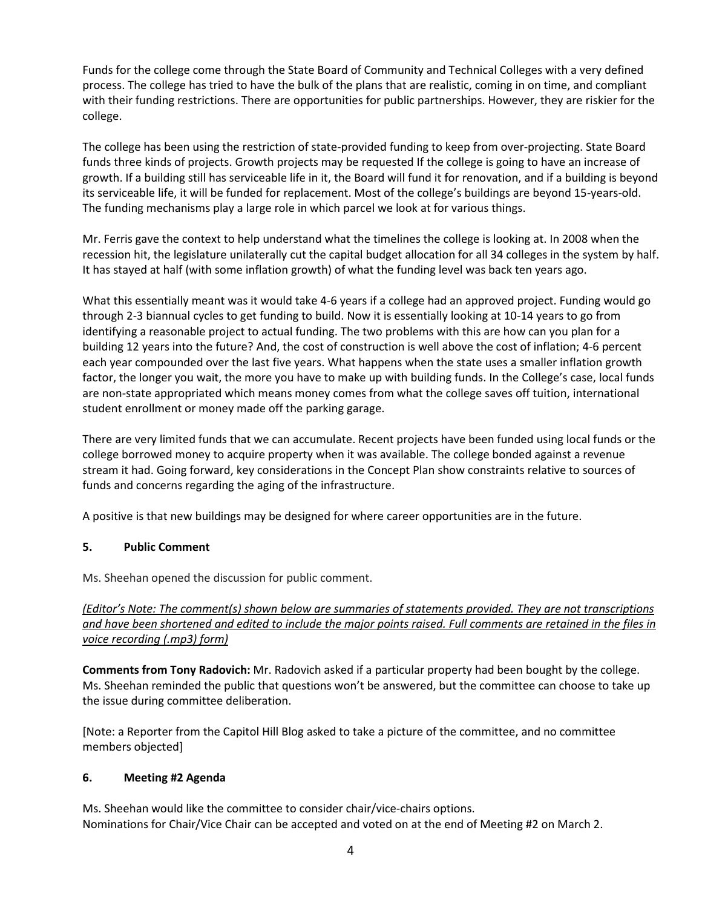Funds for the college come through the State Board of Community and Technical Colleges with a very defined process. The college has tried to have the bulk of the plans that are realistic, coming in on time, and compliant with their funding restrictions. There are opportunities for public partnerships. However, they are riskier for the college.

The college has been using the restriction of state-provided funding to keep from over-projecting. State Board funds three kinds of projects. Growth projects may be requested If the college is going to have an increase of growth. If a building still has serviceable life in it, the Board will fund it for renovation, and if a building is beyond its serviceable life, it will be funded for replacement. Most of the college's buildings are beyond 15-years-old. The funding mechanisms play a large role in which parcel we look at for various things.

Mr. Ferris gave the context to help understand what the timelines the college is looking at. In 2008 when the recession hit, the legislature unilaterally cut the capital budget allocation for all 34 colleges in the system by half. It has stayed at half (with some inflation growth) of what the funding level was back ten years ago.

What this essentially meant was it would take 4-6 years if a college had an approved project. Funding would go through 2-3 biannual cycles to get funding to build. Now it is essentially looking at 10-14 years to go from identifying a reasonable project to actual funding. The two problems with this are how can you plan for a building 12 years into the future? And, the cost of construction is well above the cost of inflation; 4-6 percent each year compounded over the last five years. What happens when the state uses a smaller inflation growth factor, the longer you wait, the more you have to make up with building funds. In the College's case, local funds are non-state appropriated which means money comes from what the college saves off tuition, international student enrollment or money made off the parking garage.

There are very limited funds that we can accumulate. Recent projects have been funded using local funds or the college borrowed money to acquire property when it was available. The college bonded against a revenue stream it had. Going forward, key considerations in the Concept Plan show constraints relative to sources of funds and concerns regarding the aging of the infrastructure.

A positive is that new buildings may be designed for where career opportunities are in the future.

## 5. Public Comment

Ms. Sheehan opened the discussion for public comment.

(Editor's Note: The comment(s) shown below are summaries of statements provided. They are not transcriptions and have been shortened and edited to include the major points raised. Full comments are retained in the files in voice recording (.mp3) form)

Comments from Tony Radovich: Mr. Radovich asked if a particular property had been bought by the college. Ms. Sheehan reminded the public that questions won't be answered, but the committee can choose to take up the issue during committee deliberation.

[Note: a Reporter from the Capitol Hill Blog asked to take a picture of the committee, and no committee members objected]

#### 6. Meeting #2 Agenda

Ms. Sheehan would like the committee to consider chair/vice-chairs options. Nominations for Chair/Vice Chair can be accepted and voted on at the end of Meeting #2 on March 2.